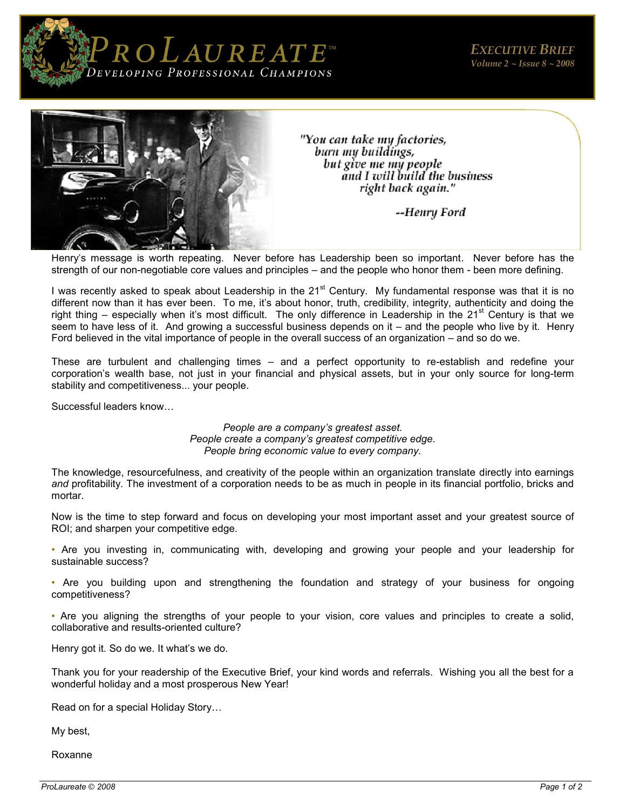



"You can take my factories, burn my buildings, but give me my people and I will build the business right back again."

--Henry Ford

Henry's message is worth repeating. Never before has Leadership been so important. Never before has the strength of our non-negotiable core values and principles – and the people who honor them - been more defining.

I was recently asked to speak about Leadership in the  $21<sup>st</sup>$  Century. My fundamental response was that it is no different now than it has ever been. To me, it's about honor, truth, credibility, integrity, authenticity and doing the right thing – especially when it's most difficult. The only difference in Leadership in the 21<sup>st</sup> Century is that we seem to have less of it. And growing a successful business depends on it – and the people who live by it. Henry Ford believed in the vital importance of people in the overall success of an organization – and so do we.

These are turbulent and challenging times – and a perfect opportunity to re-establish and redefine your corporation's wealth base, not just in your financial and physical assets, but in your only source for long-term stability and competitiveness... your people.

Successful leaders know…

*People are a company's greatest asset. People create a company's greatest competitive edge. People bring economic value to every company.* 

The knowledge, resourcefulness, and creativity of the people within an organization translate directly into earnings *and* profitability. The investment of a corporation needs to be as much in people in its financial portfolio, bricks and mortar.

Now is the time to step forward and focus on developing your most important asset and your greatest source of ROI; and sharpen your competitive edge.

• Are you investing in, communicating with, developing and growing your people and your leadership for sustainable success?

• Are you building upon and strengthening the foundation and strategy of your business for ongoing competitiveness?

• Are you aligning the strengths of your people to your vision, core values and principles to create a solid, collaborative and results-oriented culture?

Henry got it. So do we. It what's we do.

Thank you for your readership of the Executive Brief, your kind words and referrals. Wishing you all the best for a wonderful holiday and a most prosperous New Year!

Read on for a special Holiday Story…

My best,

Roxanne